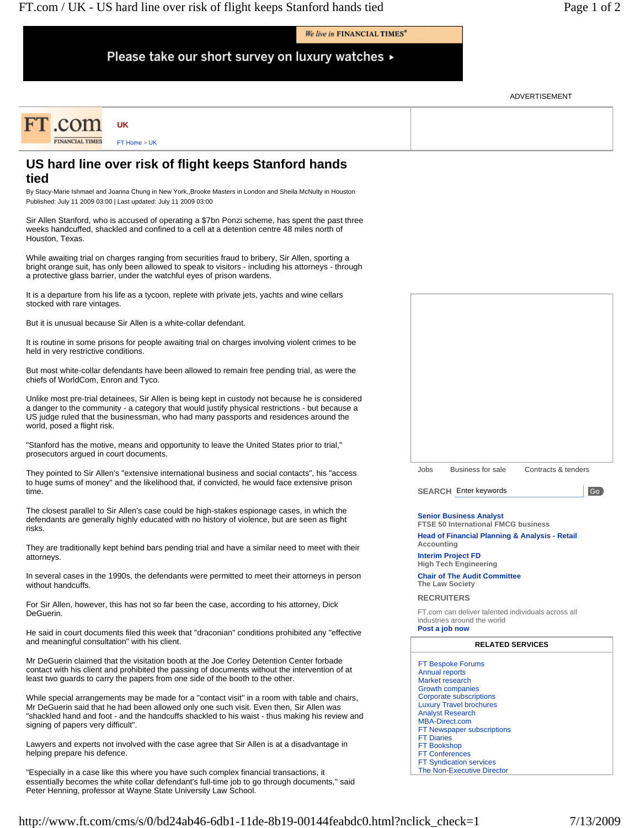We live in FINANCIAL TIMES<sup>®</sup>

Please take our short survey on luxury watches ▶

ADVERTISEMENT

| FT COM                 | UK           |  |
|------------------------|--------------|--|
| <b>FINANCIAL TIMES</b> | FT Home > UK |  |

## **US hard line over risk of flight keeps Stanford hands tied**

By Stacy-Marie Ishmael and Joanna Chung in New York,,Brooke Masters in London and Sheila McNulty in Houston Published: July 11 2009 03:00 | Last updated: July 11 2009 03:00

Sir Allen Stanford, who is accused of operating a \$7bn Ponzi scheme, has spent the past three weeks handcuffed, shackled and confined to a cell at a detention centre 48 miles north of Houston, Texas.

While awaiting trial on charges ranging from securities fraud to bribery, Sir Allen, sporting a bright orange suit, has only been allowed to speak to visitors - including his attorneys - through a protective glass barrier, under the watchful eyes of prison wardens.

It is a departure from his life as a tycoon, replete with private jets, yachts and wine cellars stocked with rare vintages.

But it is unusual because Sir Allen is a white-collar defendant.

It is routine in some prisons for people awaiting trial on charges involving violent crimes to be held in very restrictive conditions.

But most white-collar defendants have been allowed to remain free pending trial, as were the chiefs of WorldCom, Enron and Tyco.

Unlike most pre-trial detainees, Sir Allen is being kept in custody not because he is considered a danger to the community - a category that would justify physical restrictions - but because a US judge ruled that the businessman, who had many passports and residences around the world, posed a flight risk.

"Stanford has the motive, means and opportunity to leave the United States prior to trial," prosecutors argued in court documents.

They pointed to Sir Allen's "extensive international business and social contacts", his "access to huge sums of money" and the likelihood that, if convicted, he would face extensive prison time.

The closest parallel to Sir Allen's case could be high-stakes espionage cases, in which the defendants are generally highly educated with no history of violence, but are seen as flight risks.

They are traditionally kept behind bars pending trial and have a similar need to meet with their attorneys.

In several cases in the 1990s, the defendants were permitted to meet their attorneys in person without handcuffs.

For Sir Allen, however, this has not so far been the case, according to his attorney, Dick DeGuerin.

He said in court documents filed this week that "draconian" conditions prohibited any "effective and meaningful consultation" with his client.

Mr DeGuerin claimed that the visitation booth at the Joe Corley Detention Center forbade contact with his client and prohibited the passing of documents without the intervention of at least two guards to carry the papers from one side of the booth to the other.

While special arrangements may be made for a "contact visit" in a room with table and chairs, Mr DeGuerin said that he had been allowed only one such visit. Even then, Sir Allen was "shackled hand and foot - and the handcuffs shackled to his waist - thus making his review and signing of papers very difficult".

Lawyers and experts not involved with the case agree that Sir Allen is at a disadvantage in helping prepare his defence.

"Especially in a case like this where you have such complex financial transactions, it essentially becomes the white collar defendant's full-time job to go through documents,'' said Peter Henning, professor at Wayne State University Law School.



**SEARCH**  Enter keywords

Go

## **Senior Business Analyst**

**FTSE 50 International FMCG business Head of Financial Planning & Analysis - Retail Accounting**

**Interim Project FD**

**High Tech Engineering**

**Chair of The Audit Committee The Law Society**

**RECRUITERS** 

FT.com can deliver talented individuals across all industries around the world

**Post a job now** 

## **RELATED SERVICES**

FT Bespoke Forums Annual reports Market research Growth companies Corporate subscriptions Luxury Travel brochures Analyst Research MBA-Direct.com FT Newspaper subscriptions FT Diaries FT Bookshop FT Conferences FT Syndication services The Non-Executive Director